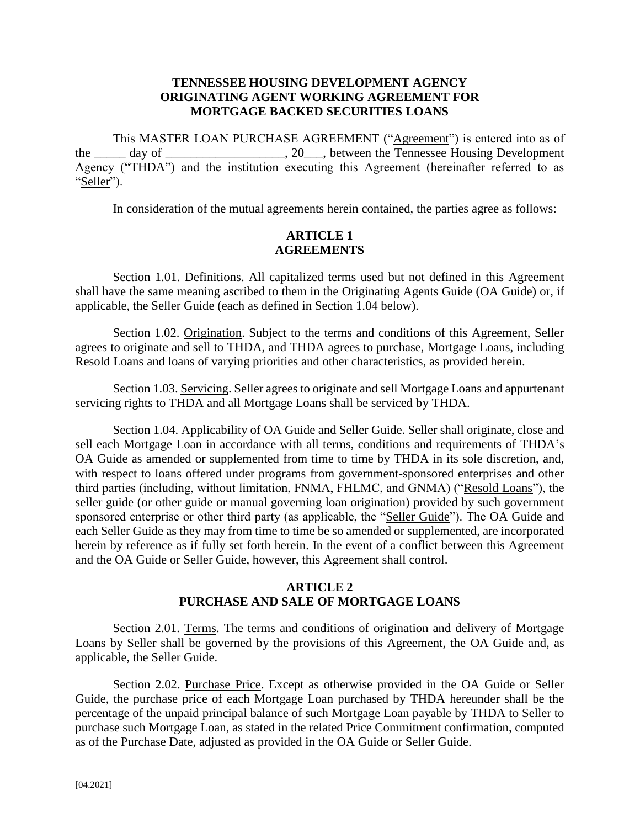#### **TENNESSEE HOUSING DEVELOPMENT AGENCY ORIGINATING AGENT WORKING AGREEMENT FOR MORTGAGE BACKED SECURITIES LOANS**

This MASTER LOAN PURCHASE AGREEMENT ("Agreement") is entered into as of the \_\_\_\_\_ day of \_\_\_\_\_\_\_\_\_\_\_\_\_\_\_\_, 20\_\_\_, between the Tennessee Housing Development Agency ("THDA") and the institution executing this Agreement (hereinafter referred to as "Seller").

In consideration of the mutual agreements herein contained, the parties agree as follows:

#### **ARTICLE 1 AGREEMENTS**

Section 1.01. Definitions. All capitalized terms used but not defined in this Agreement shall have the same meaning ascribed to them in the Originating Agents Guide (OA Guide) or, if applicable, the Seller Guide (each as defined in Section 1.04 below).

Section 1.02. Origination. Subject to the terms and conditions of this Agreement, Seller agrees to originate and sell to THDA, and THDA agrees to purchase, Mortgage Loans, including Resold Loans and loans of varying priorities and other characteristics, as provided herein.

Section 1.03. Servicing. Seller agrees to originate and sell Mortgage Loans and appurtenant servicing rights to THDA and all Mortgage Loans shall be serviced by THDA.

Section 1.04. Applicability of OA Guide and Seller Guide. Seller shall originate, close and sell each Mortgage Loan in accordance with all terms, conditions and requirements of THDA's OA Guide as amended or supplemented from time to time by THDA in its sole discretion, and, with respect to loans offered under programs from government-sponsored enterprises and other third parties (including, without limitation, FNMA, FHLMC, and GNMA) ("Resold Loans"), the seller guide (or other guide or manual governing loan origination) provided by such government sponsored enterprise or other third party (as applicable, the "Seller Guide"). The OA Guide and each Seller Guide as they may from time to time be so amended or supplemented, are incorporated herein by reference as if fully set forth herein. In the event of a conflict between this Agreement and the OA Guide or Seller Guide, however, this Agreement shall control.

#### **ARTICLE 2 PURCHASE AND SALE OF MORTGAGE LOANS**

Section 2.01. Terms. The terms and conditions of origination and delivery of Mortgage Loans by Seller shall be governed by the provisions of this Agreement, the OA Guide and, as applicable, the Seller Guide.

Section 2.02. Purchase Price. Except as otherwise provided in the OA Guide or Seller Guide, the purchase price of each Mortgage Loan purchased by THDA hereunder shall be the percentage of the unpaid principal balance of such Mortgage Loan payable by THDA to Seller to purchase such Mortgage Loan, as stated in the related Price Commitment confirmation, computed as of the Purchase Date, adjusted as provided in the OA Guide or Seller Guide.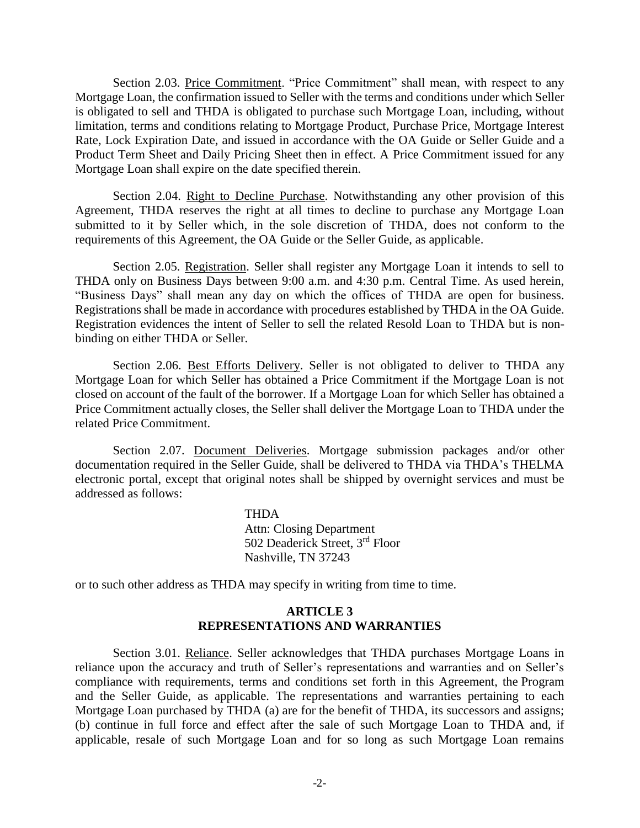Section 2.03. Price Commitment. "Price Commitment" shall mean, with respect to any Mortgage Loan, the confirmation issued to Seller with the terms and conditions under which Seller is obligated to sell and THDA is obligated to purchase such Mortgage Loan, including, without limitation, terms and conditions relating to Mortgage Product, Purchase Price, Mortgage Interest Rate, Lock Expiration Date, and issued in accordance with the OA Guide or Seller Guide and a Product Term Sheet and Daily Pricing Sheet then in effect. A Price Commitment issued for any Mortgage Loan shall expire on the date specified therein.

Section 2.04. Right to Decline Purchase. Notwithstanding any other provision of this Agreement, THDA reserves the right at all times to decline to purchase any Mortgage Loan submitted to it by Seller which, in the sole discretion of THDA, does not conform to the requirements of this Agreement, the OA Guide or the Seller Guide, as applicable.

Section 2.05. Registration. Seller shall register any Mortgage Loan it intends to sell to THDA only on Business Days between 9:00 a.m. and 4:30 p.m. Central Time. As used herein, "Business Days" shall mean any day on which the offices of THDA are open for business. Registrations shall be made in accordance with procedures established by THDA in the OA Guide. Registration evidences the intent of Seller to sell the related Resold Loan to THDA but is nonbinding on either THDA or Seller.

Section 2.06. Best Efforts Delivery. Seller is not obligated to deliver to THDA any Mortgage Loan for which Seller has obtained a Price Commitment if the Mortgage Loan is not closed on account of the fault of the borrower. If a Mortgage Loan for which Seller has obtained a Price Commitment actually closes, the Seller shall deliver the Mortgage Loan to THDA under the related Price Commitment.

Section 2.07. Document Deliveries. Mortgage submission packages and/or other documentation required in the Seller Guide, shall be delivered to THDA via THDA's THELMA electronic portal, except that original notes shall be shipped by overnight services and must be addressed as follows:

> **THDA** Attn: Closing Department 502 Deaderick Street, 3rd Floor Nashville, TN 37243

<span id="page-1-0"></span>or to such other address as THDA may specify in writing from time to time.

## **ARTICLE 3 REPRESENTATIONS AND WARRANTIES**

Section 3.01. Reliance. Seller acknowledges that THDA purchases Mortgage Loans in reliance upon the accuracy and truth of Seller's representations and warranties and on Seller's compliance with requirements, terms and conditions set forth in this Agreement, the Program and the Seller Guide, as applicable. The representations and warranties pertaining to each Mortgage Loan purchased by THDA (a) are for the benefit of THDA, its successors and assigns; (b) continue in full force and effect after the sale of such Mortgage Loan to THDA and, if applicable, resale of such Mortgage Loan and for so long as such Mortgage Loan remains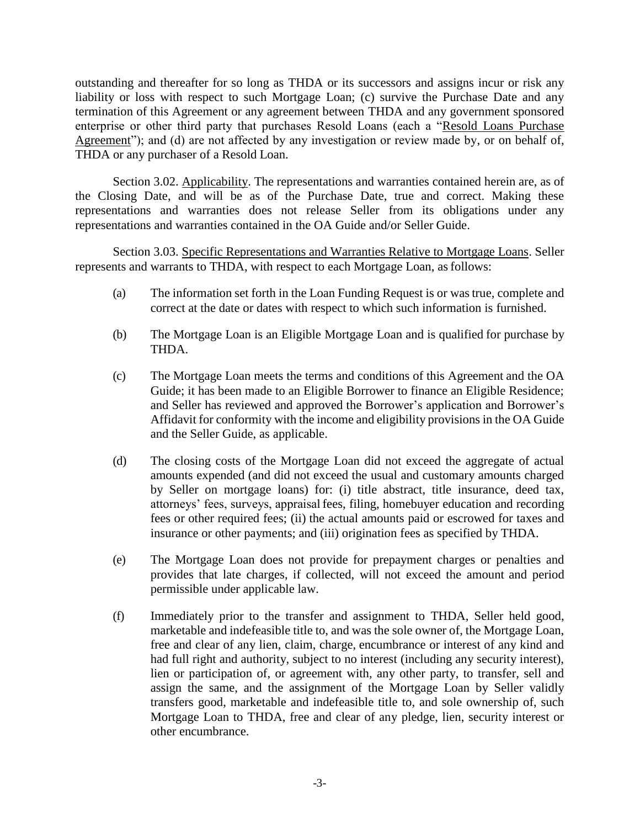outstanding and thereafter for so long as THDA or its successors and assigns incur or risk any liability or loss with respect to such Mortgage Loan; (c) survive the Purchase Date and any termination of this Agreement or any agreement between THDA and any government sponsored enterprise or other third party that purchases Resold Loans (each a "Resold Loans Purchase Agreement"); and (d) are not affected by any investigation or review made by, or on behalf of, THDA or any purchaser of a Resold Loan.

Section 3.02. Applicability. The representations and warranties contained herein are, as of the Closing Date, and will be as of the Purchase Date, true and correct. Making these representations and warranties does not release Seller from its obligations under any representations and warranties contained in the OA Guide and/or Seller Guide.

Section 3.03. Specific Representations and Warranties Relative to Mortgage Loans. Seller represents and warrants to THDA, with respect to each Mortgage Loan, asfollows:

- (a) The information set forth in the Loan Funding Request is or wastrue, complete and correct at the date or dates with respect to which such information is furnished.
- (b) The Mortgage Loan is an Eligible Mortgage Loan and is qualified for purchase by THDA.
- (c) The Mortgage Loan meets the terms and conditions of this Agreement and the OA Guide; it has been made to an Eligible Borrower to finance an Eligible Residence; and Seller has reviewed and approved the Borrower's application and Borrower's Affidavit for conformity with the income and eligibility provisions in the OA Guide and the Seller Guide, as applicable.
- (d) The closing costs of the Mortgage Loan did not exceed the aggregate of actual amounts expended (and did not exceed the usual and customary amounts charged by Seller on mortgage loans) for: (i) title abstract, title insurance, deed tax, attorneys' fees, surveys, appraisal fees, filing, homebuyer education and recording fees or other required fees; (ii) the actual amounts paid or escrowed for taxes and insurance or other payments; and (iii) origination fees as specified by THDA.
- (e) The Mortgage Loan does not provide for prepayment charges or penalties and provides that late charges, if collected, will not exceed the amount and period permissible under applicable law.
- (f) Immediately prior to the transfer and assignment to THDA, Seller held good, marketable and indefeasible title to, and was the sole owner of, the Mortgage Loan, free and clear of any lien, claim, charge, encumbrance or interest of any kind and had full right and authority, subject to no interest (including any security interest), lien or participation of, or agreement with, any other party, to transfer, sell and assign the same, and the assignment of the Mortgage Loan by Seller validly transfers good, marketable and indefeasible title to, and sole ownership of, such Mortgage Loan to THDA, free and clear of any pledge, lien, security interest or other encumbrance.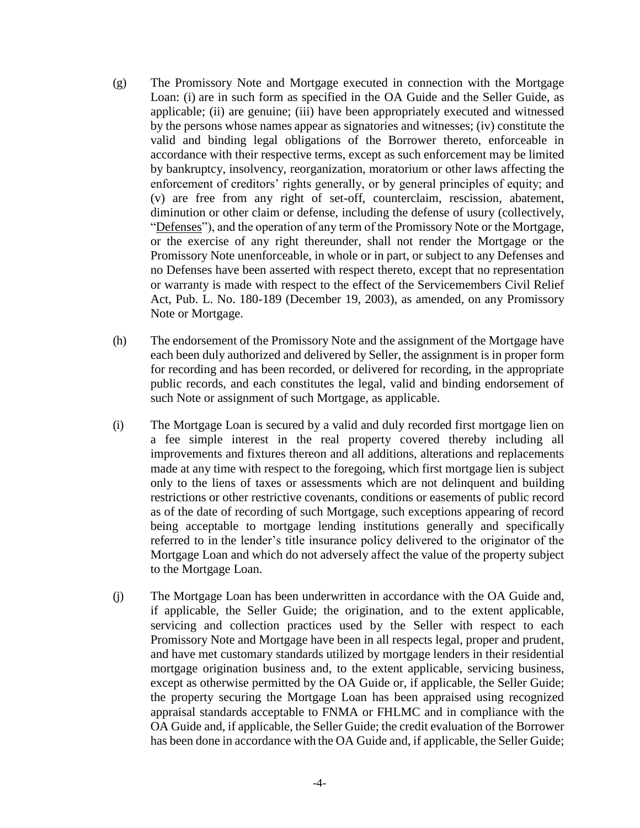- (g) The Promissory Note and Mortgage executed in connection with the Mortgage Loan: (i) are in such form as specified in the OA Guide and the Seller Guide, as applicable; (ii) are genuine; (iii) have been appropriately executed and witnessed by the persons whose names appear as signatories and witnesses; (iv) constitute the valid and binding legal obligations of the Borrower thereto, enforceable in accordance with their respective terms, except as such enforcement may be limited by bankruptcy, insolvency, reorganization, moratorium or other laws affecting the enforcement of creditors' rights generally, or by general principles of equity; and (v) are free from any right of set-off, counterclaim, rescission, abatement, diminution or other claim or defense, including the defense of usury (collectively, "Defenses"), and the operation of any term of the Promissory Note or the Mortgage, or the exercise of any right thereunder, shall not render the Mortgage or the Promissory Note unenforceable, in whole or in part, or subject to any Defenses and no Defenses have been asserted with respect thereto, except that no representation or warranty is made with respect to the effect of the Servicemembers Civil Relief Act, Pub. L. No. 180-189 (December 19, 2003), as amended, on any Promissory Note or Mortgage.
- (h) The endorsement of the Promissory Note and the assignment of the Mortgage have each been duly authorized and delivered by Seller, the assignment is in proper form for recording and has been recorded, or delivered for recording, in the appropriate public records, and each constitutes the legal, valid and binding endorsement of such Note or assignment of such Mortgage, as applicable.
- <span id="page-3-0"></span>(i) The Mortgage Loan is secured by a valid and duly recorded first mortgage lien on a fee simple interest in the real property covered thereby including all improvements and fixtures thereon and all additions, alterations and replacements made at any time with respect to the foregoing, which first mortgage lien is subject only to the liens of taxes or assessments which are not delinquent and building restrictions or other restrictive covenants, conditions or easements of public record as of the date of recording of such Mortgage, such exceptions appearing of record being acceptable to mortgage lending institutions generally and specifically referred to in the lender's title insurance policy delivered to the originator of the Mortgage Loan and which do not adversely affect the value of the property subject to the Mortgage Loan.
- (j) The Mortgage Loan has been underwritten in accordance with the OA Guide and, if applicable, the Seller Guide; the origination, and to the extent applicable, servicing and collection practices used by the Seller with respect to each Promissory Note and Mortgage have been in all respects legal, proper and prudent, and have met customary standards utilized by mortgage lenders in their residential mortgage origination business and, to the extent applicable, servicing business, except as otherwise permitted by the OA Guide or, if applicable, the Seller Guide; the property securing the Mortgage Loan has been appraised using recognized appraisal standards acceptable to FNMA or FHLMC and in compliance with the OA Guide and, if applicable, the Seller Guide; the credit evaluation of the Borrower has been done in accordance with the OA Guide and, if applicable, the Seller Guide;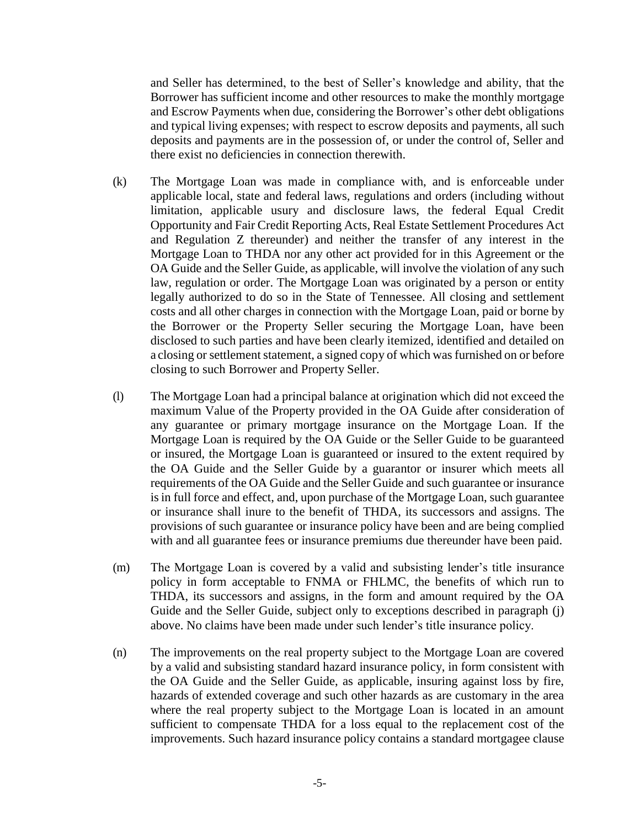and Seller has determined, to the best of Seller's knowledge and ability, that the Borrower has sufficient income and other resources to make the monthly mortgage and Escrow Payments when due, considering the Borrower's other debt obligations and typical living expenses; with respect to escrow deposits and payments, all such deposits and payments are in the possession of, or under the control of, Seller and there exist no deficiencies in connection therewith.

- (k) The Mortgage Loan was made in compliance with, and is enforceable under applicable local, state and federal laws, regulations and orders (including without limitation, applicable usury and disclosure laws, the federal Equal Credit Opportunity and Fair Credit Reporting Acts, Real Estate Settlement Procedures Act and Regulation Z thereunder) and neither the transfer of any interest in the Mortgage Loan to THDA nor any other act provided for in this Agreement or the OA Guide and the Seller Guide, as applicable, will involve the violation of any such law, regulation or order. The Mortgage Loan was originated by a person or entity legally authorized to do so in the State of Tennessee. All closing and settlement costs and all other charges in connection with the Mortgage Loan, paid or borne by the Borrower or the Property Seller securing the Mortgage Loan, have been disclosed to such parties and have been clearly itemized, identified and detailed on a closing or settlement statement, a signed copy of which was furnished on or before closing to such Borrower and Property Seller.
- (l) The Mortgage Loan had a principal balance at origination which did not exceed the maximum Value of the Property provided in the OA Guide after consideration of any guarantee or primary mortgage insurance on the Mortgage Loan. If the Mortgage Loan is required by the OA Guide or the Seller Guide to be guaranteed or insured, the Mortgage Loan is guaranteed or insured to the extent required by the OA Guide and the Seller Guide by a guarantor or insurer which meets all requirements of the OA Guide and the Seller Guide and such guarantee or insurance is in full force and effect, and, upon purchase of the Mortgage Loan, such guarantee or insurance shall inure to the benefit of THDA, its successors and assigns. The provisions of such guarantee or insurance policy have been and are being complied with and all guarantee fees or insurance premiums due thereunder have been paid.
- (m) The Mortgage Loan is covered by a valid and subsisting lender's title insurance policy in form acceptable to FNMA or FHLMC, the benefits of which run to THDA, its successors and assigns, in the form and amount required by the OA Guide and the Seller Guide, subject only to exceptions described in paragraph [\(j\)](#page-3-0)  [above.](#page-3-0) No claims have been made under such lender's title insurance policy.
- (n) The improvements on the real property subject to the Mortgage Loan are covered by a valid and subsisting standard hazard insurance policy, in form consistent with the OA Guide and the Seller Guide, as applicable, insuring against loss by fire, hazards of extended coverage and such other hazards as are customary in the area where the real property subject to the Mortgage Loan is located in an amount sufficient to compensate THDA for a loss equal to the replacement cost of the improvements. Such hazard insurance policy contains a standard mortgagee clause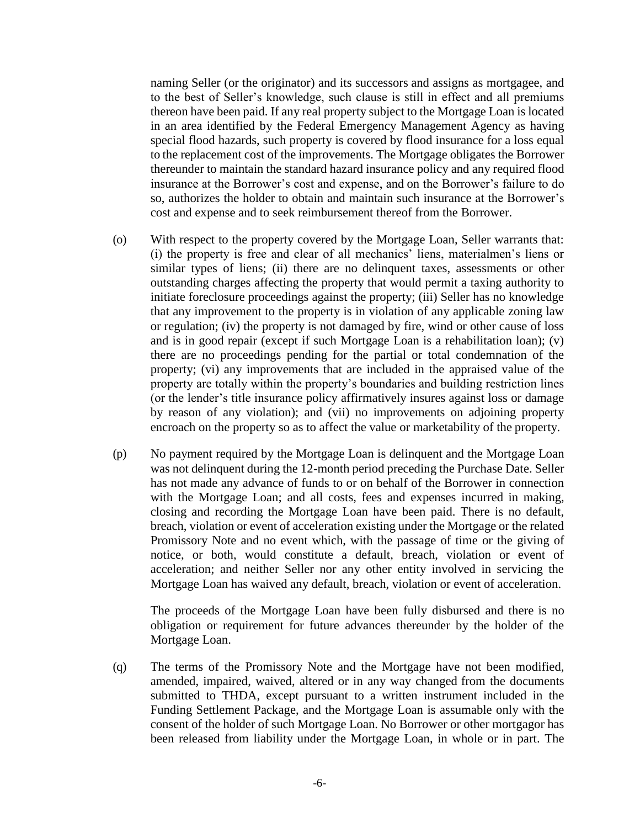naming Seller (or the originator) and its successors and assigns as mortgagee, and to the best of Seller's knowledge, such clause is still in effect and all premiums thereon have been paid. If any real property subject to the Mortgage Loan is located in an area identified by the Federal Emergency Management Agency as having special flood hazards, such property is covered by flood insurance for a loss equal to the replacement cost of the improvements. The Mortgage obligates the Borrower thereunder to maintain the standard hazard insurance policy and any required flood insurance at the Borrower's cost and expense, and on the Borrower's failure to do so, authorizes the holder to obtain and maintain such insurance at the Borrower's cost and expense and to seek reimbursement thereof from the Borrower.

- (o) With respect to the property covered by the Mortgage Loan, Seller warrants that: (i) the property is free and clear of all mechanics' liens, materialmen's liens or similar types of liens; (ii) there are no delinquent taxes, assessments or other outstanding charges affecting the property that would permit a taxing authority to initiate foreclosure proceedings against the property; (iii) Seller has no knowledge that any improvement to the property is in violation of any applicable zoning law or regulation; (iv) the property is not damaged by fire, wind or other cause of loss and is in good repair (except if such Mortgage Loan is a rehabilitation loan); (v) there are no proceedings pending for the partial or total condemnation of the property; (vi) any improvements that are included in the appraised value of the property are totally within the property's boundaries and building restriction lines (or the lender's title insurance policy affirmatively insures against loss or damage by reason of any violation); and (vii) no improvements on adjoining property encroach on the property so as to affect the value or marketability of the property.
- (p) No payment required by the Mortgage Loan is delinquent and the Mortgage Loan was not delinquent during the 12-month period preceding the Purchase Date. Seller has not made any advance of funds to or on behalf of the Borrower in connection with the Mortgage Loan; and all costs, fees and expenses incurred in making, closing and recording the Mortgage Loan have been paid. There is no default, breach, violation or event of acceleration existing under the Mortgage or the related Promissory Note and no event which, with the passage of time or the giving of notice, or both, would constitute a default, breach, violation or event of acceleration; and neither Seller nor any other entity involved in servicing the Mortgage Loan has waived any default, breach, violation or event of acceleration.

The proceeds of the Mortgage Loan have been fully disbursed and there is no obligation or requirement for future advances thereunder by the holder of the Mortgage Loan.

(q) The terms of the Promissory Note and the Mortgage have not been modified, amended, impaired, waived, altered or in any way changed from the documents submitted to THDA, except pursuant to a written instrument included in the Funding Settlement Package, and the Mortgage Loan is assumable only with the consent of the holder of such Mortgage Loan. No Borrower or other mortgagor has been released from liability under the Mortgage Loan, in whole or in part. The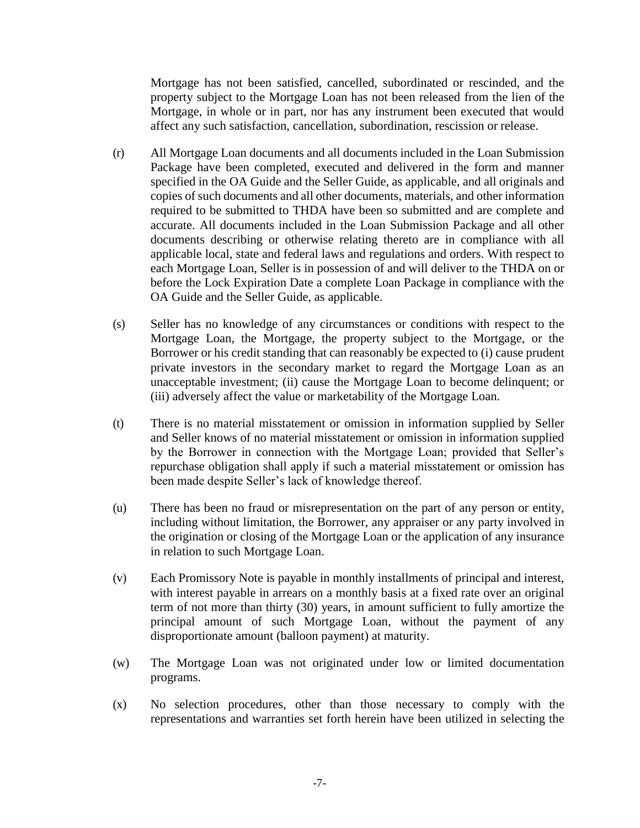Mortgage has not been satisfied, cancelled, subordinated or rescinded, and the property subject to the Mortgage Loan has not been released from the lien of the Mortgage, in whole or in part, nor has any instrument been executed that would affect any such satisfaction, cancellation, subordination, rescission or release.

- (r) All Mortgage Loan documents and all documents included in the Loan Submission Package have been completed, executed and delivered in the form and manner specified in the OA Guide and the Seller Guide, as applicable, and all originals and copies of such documents and all other documents, materials, and other information required to be submitted to THDA have been so submitted and are complete and accurate. All documents included in the Loan Submission Package and all other documents describing or otherwise relating thereto are in compliance with all applicable local, state and federal laws and regulations and orders. With respect to each Mortgage Loan, Seller is in possession of and will deliver to the THDA on or before the Lock Expiration Date a complete Loan Package in compliance with the OA Guide and the Seller Guide, as applicable.
- (s) Seller has no knowledge of any circumstances or conditions with respect to the Mortgage Loan, the Mortgage, the property subject to the Mortgage, or the Borrower or his credit standing that can reasonably be expected to (i) cause prudent private investors in the secondary market to regard the Mortgage Loan as an unacceptable investment; (ii) cause the Mortgage Loan to become delinquent; or (iii) adversely affect the value or marketability of the Mortgage Loan.
- (t) There is no material misstatement or omission in information supplied by Seller and Seller knows of no material misstatement or omission in information supplied by the Borrower in connection with the Mortgage Loan; provided that Seller's repurchase obligation shall apply if such a material misstatement or omission has been made despite Seller's lack of knowledge thereof.
- (u) There has been no fraud or misrepresentation on the part of any person or entity, including without limitation, the Borrower, any appraiser or any party involved in the origination or closing of the Mortgage Loan or the application of any insurance in relation to such Mortgage Loan.
- (v) Each Promissory Note is payable in monthly installments of principal and interest, with interest payable in arrears on a monthly basis at a fixed rate over an original term of not more than thirty (30) years, in amount sufficient to fully amortize the principal amount of such Mortgage Loan, without the payment of any disproportionate amount (balloon payment) at maturity.
- (w) The Mortgage Loan was not originated under low or limited documentation programs.
- (x) No selection procedures, other than those necessary to comply with the representations and warranties set forth herein have been utilized in selecting the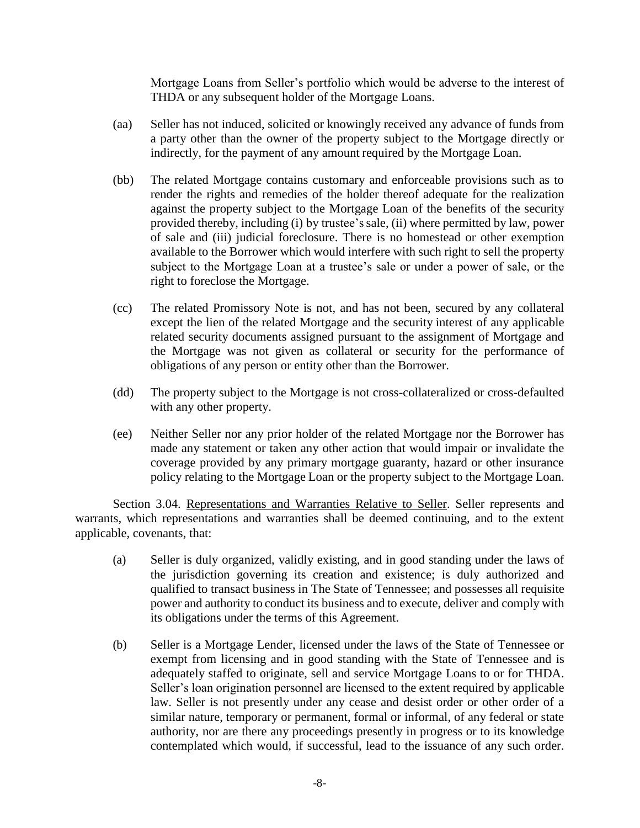Mortgage Loans from Seller's portfolio which would be adverse to the interest of THDA or any subsequent holder of the Mortgage Loans.

- (aa) Seller has not induced, solicited or knowingly received any advance of funds from a party other than the owner of the property subject to the Mortgage directly or indirectly, for the payment of any amount required by the Mortgage Loan.
- (bb) The related Mortgage contains customary and enforceable provisions such as to render the rights and remedies of the holder thereof adequate for the realization against the property subject to the Mortgage Loan of the benefits of the security provided thereby, including (i) by trustee'ssale, (ii) where permitted by law, power of sale and (iii) judicial foreclosure. There is no homestead or other exemption available to the Borrower which would interfere with such right to sell the property subject to the Mortgage Loan at a trustee's sale or under a power of sale, or the right to foreclose the Mortgage.
- (cc) The related Promissory Note is not, and has not been, secured by any collateral except the lien of the related Mortgage and the security interest of any applicable related security documents assigned pursuant to the assignment of Mortgage and the Mortgage was not given as collateral or security for the performance of obligations of any person or entity other than the Borrower.
- (dd) The property subject to the Mortgage is not cross-collateralized or cross-defaulted with any other property.
- (ee) Neither Seller nor any prior holder of the related Mortgage nor the Borrower has made any statement or taken any other action that would impair or invalidate the coverage provided by any primary mortgage guaranty, hazard or other insurance policy relating to the Mortgage Loan or the property subject to the Mortgage Loan.

Section 3.04. Representations and Warranties Relative to Seller. Seller represents and warrants, which representations and warranties shall be deemed continuing, and to the extent applicable, covenants, that:

- (a) Seller is duly organized, validly existing, and in good standing under the laws of the jurisdiction governing its creation and existence; is duly authorized and qualified to transact business in The State of Tennessee; and possesses all requisite power and authority to conduct its business and to execute, deliver and comply with its obligations under the terms of this Agreement.
- (b) Seller is a Mortgage Lender, licensed under the laws of the State of Tennessee or exempt from licensing and in good standing with the State of Tennessee and is adequately staffed to originate, sell and service Mortgage Loans to or for THDA. Seller's loan origination personnel are licensed to the extent required by applicable law. Seller is not presently under any cease and desist order or other order of a similar nature, temporary or permanent, formal or informal, of any federal or state authority, nor are there any proceedings presently in progress or to its knowledge contemplated which would, if successful, lead to the issuance of any such order.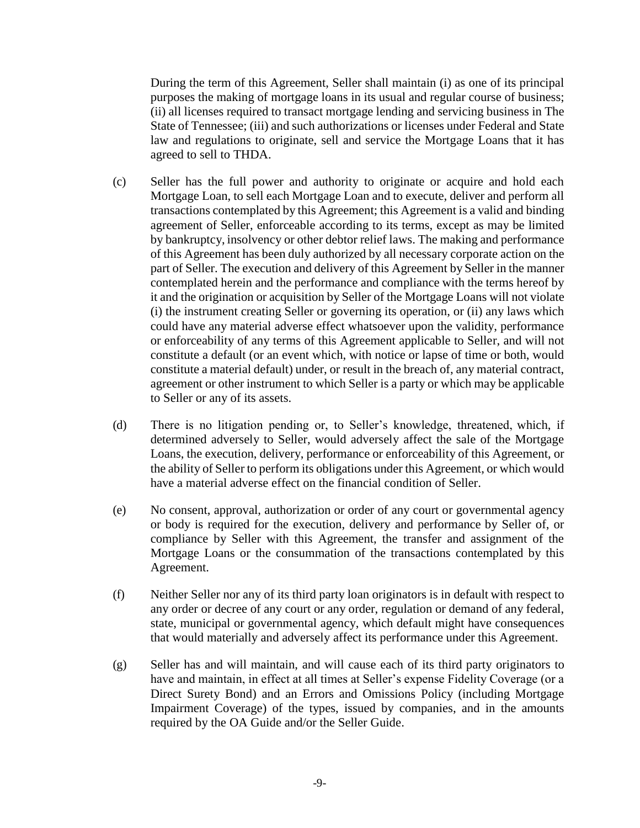During the term of this Agreement, Seller shall maintain (i) as one of its principal purposes the making of mortgage loans in its usual and regular course of business; (ii) all licenses required to transact mortgage lending and servicing business in The State of Tennessee; (iii) and such authorizations or licenses under Federal and State law and regulations to originate, sell and service the Mortgage Loans that it has agreed to sell to THDA.

- (c) Seller has the full power and authority to originate or acquire and hold each Mortgage Loan, to sell each Mortgage Loan and to execute, deliver and perform all transactions contemplated by this Agreement; this Agreement is a valid and binding agreement of Seller, enforceable according to its terms, except as may be limited by bankruptcy, insolvency or other debtor relief laws. The making and performance of this Agreement has been duly authorized by all necessary corporate action on the part of Seller. The execution and delivery of this Agreement by Seller in the manner contemplated herein and the performance and compliance with the terms hereof by it and the origination or acquisition by Seller of the Mortgage Loans will not violate (i) the instrument creating Seller or governing its operation, or (ii) any laws which could have any material adverse effect whatsoever upon the validity, performance or enforceability of any terms of this Agreement applicable to Seller, and will not constitute a default (or an event which, with notice or lapse of time or both, would constitute a material default) under, or result in the breach of, any material contract, agreement or other instrument to which Seller is a party or which may be applicable to Seller or any of its assets.
- (d) There is no litigation pending or, to Seller's knowledge, threatened, which, if determined adversely to Seller, would adversely affect the sale of the Mortgage Loans, the execution, delivery, performance or enforceability of this Agreement, or the ability of Seller to perform its obligations under this Agreement, or which would have a material adverse effect on the financial condition of Seller.
- (e) No consent, approval, authorization or order of any court or governmental agency or body is required for the execution, delivery and performance by Seller of, or compliance by Seller with this Agreement, the transfer and assignment of the Mortgage Loans or the consummation of the transactions contemplated by this Agreement.
- (f) Neither Seller nor any of its third party loan originators is in default with respect to any order or decree of any court or any order, regulation or demand of any federal, state, municipal or governmental agency, which default might have consequences that would materially and adversely affect its performance under this Agreement.
- (g) Seller has and will maintain, and will cause each of its third party originators to have and maintain, in effect at all times at Seller's expense Fidelity Coverage (or a Direct Surety Bond) and an Errors and Omissions Policy (including Mortgage Impairment Coverage) of the types, issued by companies, and in the amounts required by the OA Guide and/or the Seller Guide.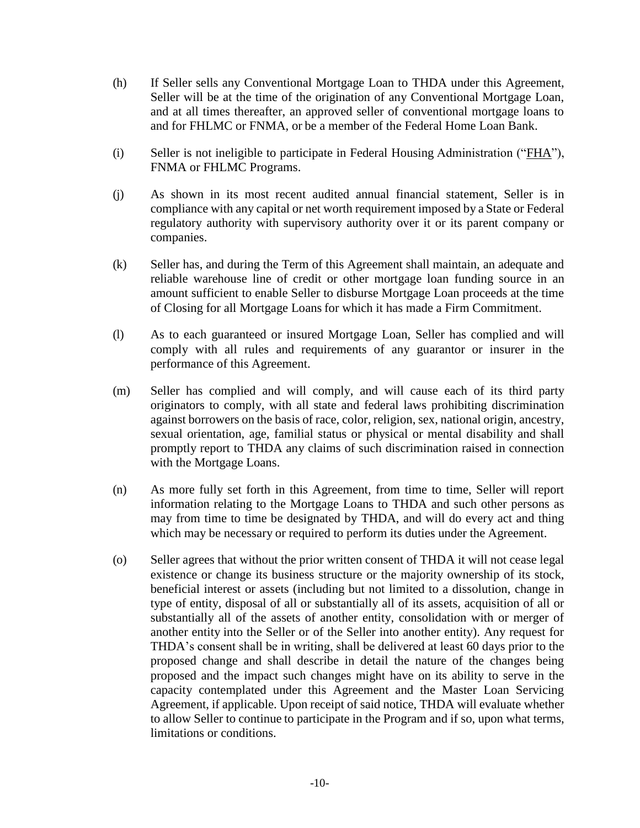- (h) If Seller sells any Conventional Mortgage Loan to THDA under this Agreement, Seller will be at the time of the origination of any Conventional Mortgage Loan, and at all times thereafter, an approved seller of conventional mortgage loans to and for FHLMC or FNMA, or be a member of the Federal Home Loan Bank.
- (i) Seller is not ineligible to participate in Federal Housing Administration ("FHA"), FNMA or FHLMC Programs.
- (j) As shown in its most recent audited annual financial statement, Seller is in compliance with any capital or net worth requirement imposed by a State or Federal regulatory authority with supervisory authority over it or its parent company or companies.
- (k) Seller has, and during the Term of this Agreement shall maintain, an adequate and reliable warehouse line of credit or other mortgage loan funding source in an amount sufficient to enable Seller to disburse Mortgage Loan proceeds at the time of Closing for all Mortgage Loans for which it has made a Firm Commitment.
- (l) As to each guaranteed or insured Mortgage Loan, Seller has complied and will comply with all rules and requirements of any guarantor or insurer in the performance of this Agreement.
- (m) Seller has complied and will comply, and will cause each of its third party originators to comply, with all state and federal laws prohibiting discrimination against borrowers on the basis of race, color, religion, sex, national origin, ancestry, sexual orientation, age, familial status or physical or mental disability and shall promptly report to THDA any claims of such discrimination raised in connection with the Mortgage Loans.
- (n) As more fully set forth in this Agreement, from time to time, Seller will report information relating to the Mortgage Loans to THDA and such other persons as may from time to time be designated by THDA, and will do every act and thing which may be necessary or required to perform its duties under the Agreement.
- (o) Seller agrees that without the prior written consent of THDA it will not cease legal existence or change its business structure or the majority ownership of its stock, beneficial interest or assets (including but not limited to a dissolution, change in type of entity, disposal of all or substantially all of its assets, acquisition of all or substantially all of the assets of another entity, consolidation with or merger of another entity into the Seller or of the Seller into another entity). Any request for THDA's consent shall be in writing, shall be delivered at least 60 days prior to the proposed change and shall describe in detail the nature of the changes being proposed and the impact such changes might have on its ability to serve in the capacity contemplated under this Agreement and the Master Loan Servicing Agreement, if applicable. Upon receipt of said notice, THDA will evaluate whether to allow Seller to continue to participate in the Program and if so, upon what terms, limitations or conditions.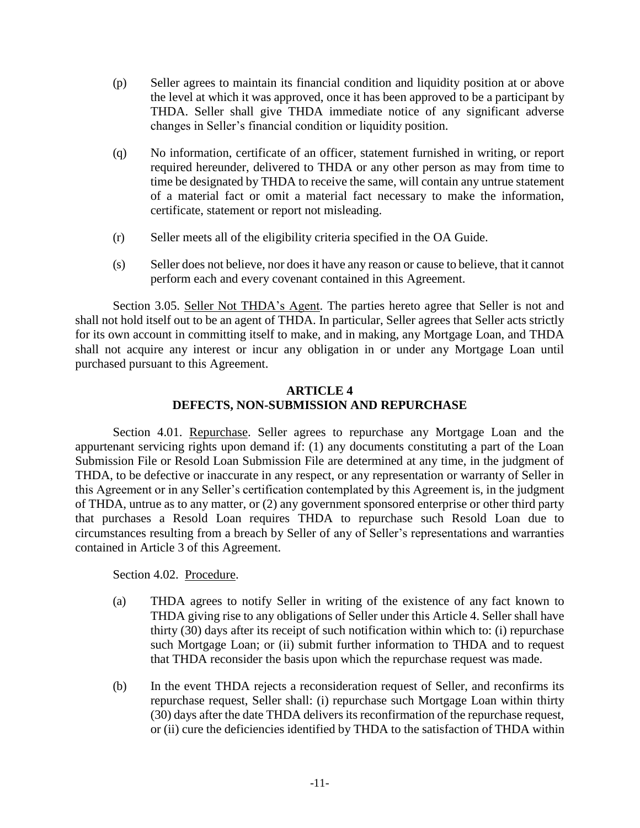- (p) Seller agrees to maintain its financial condition and liquidity position at or above the level at which it was approved, once it has been approved to be a participant by THDA. Seller shall give THDA immediate notice of any significant adverse changes in Seller's financial condition or liquidity position.
- (q) No information, certificate of an officer, statement furnished in writing, or report required hereunder, delivered to THDA or any other person as may from time to time be designated by THDA to receive the same, will contain any untrue statement of a material fact or omit a material fact necessary to make the information, certificate, statement or report not misleading.
- (r) Seller meets all of the eligibility criteria specified in the OA Guide.
- (s) Seller does not believe, nor does it have any reason or cause to believe, that it cannot perform each and every covenant contained in this Agreement.

Section 3.05. Seller Not THDA's Agent. The parties hereto agree that Seller is not and shall not hold itself out to be an agent of THDA. In particular, Seller agrees that Seller acts strictly for its own account in committing itself to make, and in making, any Mortgage Loan, and THDA shall not acquire any interest or incur any obligation in or under any Mortgage Loan until purchased pursuant to this Agreement.

## **ARTICLE 4 DEFECTS, NON-SUBMISSION AND REPURCHASE**

<span id="page-10-0"></span>Section 4.01. Repurchase. Seller agrees to repurchase any Mortgage Loan and the appurtenant servicing rights upon demand if: (1) any documents constituting a part of the Loan Submission File or Resold Loan Submission File are determined at any time, in the judgment of THDA, to be defective or inaccurate in any respect, or any representation or warranty of Seller in this Agreement or in any Seller's certification contemplated by this Agreement is, in the judgment of THDA, untrue as to any matter, or (2) any government sponsored enterprise or other third party that purchases a Resold Loan requires THDA to repurchase such Resold Loan due to circumstances resulting from a breach by Seller of any of Seller's representations and warranties contained in [Article 3 o](#page-1-0)f this Agreement.

Section 4.02. Procedure.

- (a) THDA agrees to notify Seller in writing of the existence of any fact known to THDA giving rise to any obligations of Seller under this [Article 4.](#page-10-0) Seller shall have thirty (30) days after its receipt of such notification within which to: (i) repurchase such Mortgage Loan; or (ii) submit further information to THDA and to request that THDA reconsider the basis upon which the repurchase request was made.
- (b) In the event THDA rejects a reconsideration request of Seller, and reconfirms its repurchase request, Seller shall: (i) repurchase such Mortgage Loan within thirty (30) days after the date THDA delivers its reconfirmation of the repurchase request, or (ii) cure the deficiencies identified by THDA to the satisfaction of THDA within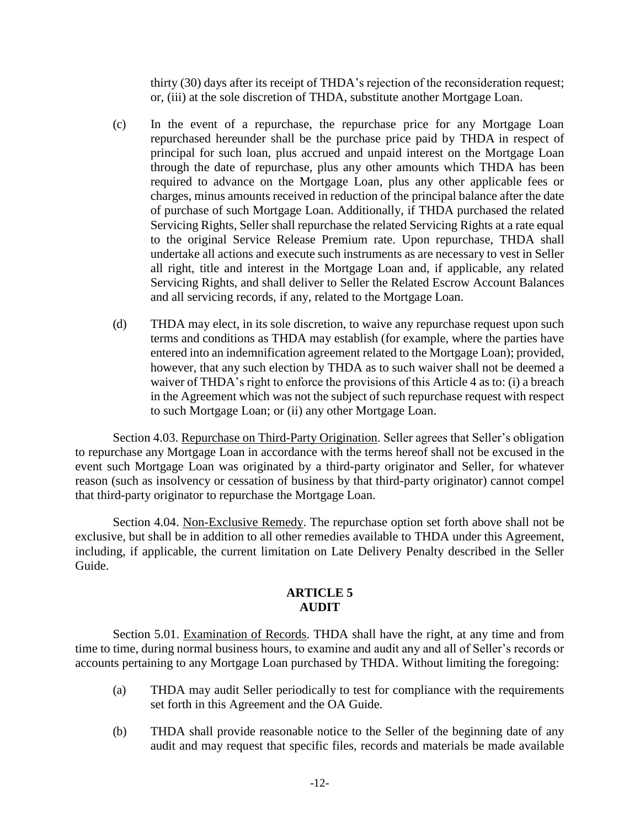thirty (30) days after its receipt of THDA's rejection of the reconsideration request; or, (iii) at the sole discretion of THDA, substitute another Mortgage Loan.

- (c) In the event of a repurchase, the repurchase price for any Mortgage Loan repurchased hereunder shall be the purchase price paid by THDA in respect of principal for such loan, plus accrued and unpaid interest on the Mortgage Loan through the date of repurchase, plus any other amounts which THDA has been required to advance on the Mortgage Loan, plus any other applicable fees or charges, minus amounts received in reduction of the principal balance after the date of purchase of such Mortgage Loan. Additionally, if THDA purchased the related Servicing Rights, Seller shall repurchase the related Servicing Rights at a rate equal to the original Service Release Premium rate. Upon repurchase, THDA shall undertake all actions and execute such instruments as are necessary to vest in Seller all right, title and interest in the Mortgage Loan and, if applicable, any related Servicing Rights, and shall deliver to Seller the Related Escrow Account Balances and all servicing records, if any, related to the Mortgage Loan.
- (d) THDA may elect, in its sole discretion, to waive any repurchase request upon such terms and conditions as THDA may establish (for example, where the parties have entered into an indemnification agreement related to the Mortgage Loan); provided, however, that any such election by THDA as to such waiver shall not be deemed a waiver of THDA's right to enforce the provisions of this [Article 4](#page-10-0) as to: (i) a breach in the Agreement which was not the subject of such repurchase request with respect to such Mortgage Loan; or (ii) any other Mortgage Loan.

Section 4.03. Repurchase on Third-Party Origination. Seller agrees that Seller's obligation to repurchase any Mortgage Loan in accordance with the terms hereof shall not be excused in the event such Mortgage Loan was originated by a third-party originator and Seller, for whatever reason (such as insolvency or cessation of business by that third-party originator) cannot compel that third-party originator to repurchase the Mortgage Loan.

Section 4.04. Non-Exclusive Remedy. The repurchase option set forth above shall not be exclusive, but shall be in addition to all other remedies available to THDA under this Agreement, including, if applicable, the current limitation on Late Delivery Penalty described in the Seller Guide.

## **ARTICLE 5 AUDIT**

Section 5.01. Examination of Records. THDA shall have the right, at any time and from time to time, during normal business hours, to examine and audit any and all of Seller's records or accounts pertaining to any Mortgage Loan purchased by THDA. Without limiting the foregoing:

- (a) THDA may audit Seller periodically to test for compliance with the requirements set forth in this Agreement and the OA Guide.
- (b) THDA shall provide reasonable notice to the Seller of the beginning date of any audit and may request that specific files, records and materials be made available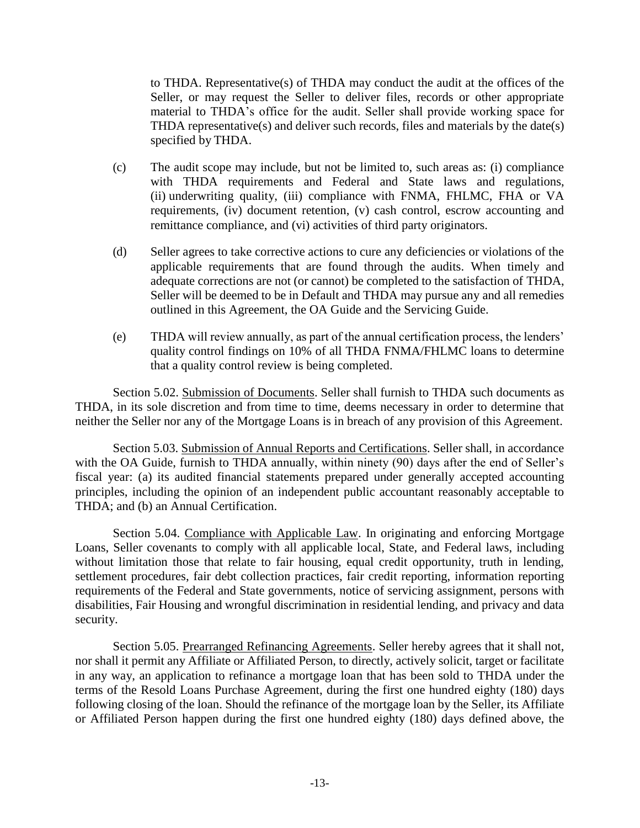to THDA. Representative(s) of THDA may conduct the audit at the offices of the Seller, or may request the Seller to deliver files, records or other appropriate material to THDA's office for the audit. Seller shall provide working space for THDA representative(s) and deliver such records, files and materials by the date(s) specified by THDA.

- (c) The audit scope may include, but not be limited to, such areas as: (i) compliance with THDA requirements and Federal and State laws and regulations, (ii) underwriting quality, (iii) compliance with FNMA, FHLMC, FHA or VA requirements, (iv) document retention, (v) cash control, escrow accounting and remittance compliance, and (vi) activities of third party originators.
- (d) Seller agrees to take corrective actions to cure any deficiencies or violations of the applicable requirements that are found through the audits. When timely and adequate corrections are not (or cannot) be completed to the satisfaction of THDA, Seller will be deemed to be in Default and THDA may pursue any and all remedies outlined in this Agreement, the OA Guide and the Servicing Guide.
- (e) THDA will review annually, as part of the annual certification process, the lenders' quality control findings on 10% of all THDA FNMA/FHLMC loans to determine that a quality control review is being completed.

Section 5.02. Submission of Documents. Seller shall furnish to THDA such documents as THDA, in its sole discretion and from time to time, deems necessary in order to determine that neither the Seller nor any of the Mortgage Loans is in breach of any provision of this Agreement.

Section 5.03. Submission of Annual Reports and Certifications. Seller shall, in accordance with the OA Guide, furnish to THDA annually, within ninety (90) days after the end of Seller's fiscal year: (a) its audited financial statements prepared under generally accepted accounting principles, including the opinion of an independent public accountant reasonably acceptable to THDA; and (b) an Annual Certification.

Section 5.04. Compliance with Applicable Law. In originating and enforcing Mortgage Loans, Seller covenants to comply with all applicable local, State, and Federal laws, including without limitation those that relate to fair housing, equal credit opportunity, truth in lending, settlement procedures, fair debt collection practices, fair credit reporting, information reporting requirements of the Federal and State governments, notice of servicing assignment, persons with disabilities, Fair Housing and wrongful discrimination in residential lending, and privacy and data security.

Section 5.05. Prearranged Refinancing Agreements. Seller hereby agrees that it shall not, nor shall it permit any Affiliate or Affiliated Person, to directly, actively solicit, target or facilitate in any way, an application to refinance a mortgage loan that has been sold to THDA under the terms of the Resold Loans Purchase Agreement, during the first one hundred eighty (180) days following closing of the loan. Should the refinance of the mortgage loan by the Seller, its Affiliate or Affiliated Person happen during the first one hundred eighty (180) days defined above, the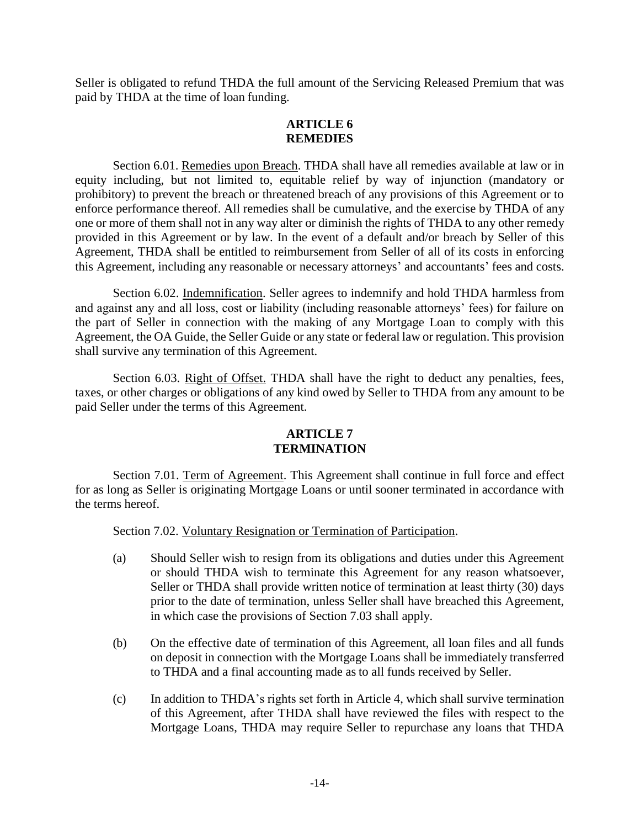<span id="page-13-1"></span>Seller is obligated to refund THDA the full amount of the Servicing Released Premium that was paid by THDA at the time of loan funding.

## **ARTICLE 6 REMEDIES**

Section 6.01. Remedies upon Breach. THDA shall have all remedies available at law or in equity including, but not limited to, equitable relief by way of injunction (mandatory or prohibitory) to prevent the breach or threatened breach of any provisions of this Agreement or to enforce performance thereof. All remedies shall be cumulative, and the exercise by THDA of any one or more of them shall not in any way alter or diminish the rights of THDA to any other remedy provided in this Agreement or by law. In the event of a default and/or breach by Seller of this Agreement, THDA shall be entitled to reimbursement from Seller of all of its costs in enforcing this Agreement, including any reasonable or necessary attorneys' and accountants' fees and costs.

Section 6.02. Indemnification. Seller agrees to indemnify and hold THDA harmless from and against any and all loss, cost or liability (including reasonable attorneys' fees) for failure on the part of Seller in connection with the making of any Mortgage Loan to comply with this Agreement, the OA Guide, the Seller Guide or any state or federal law or regulation. This provision shall survive any termination of this Agreement.

Section 6.03. Right of Offset. THDA shall have the right to deduct any penalties, fees, taxes, or other charges or obligations of any kind owed by Seller to THDA from any amount to be paid Seller under the terms of this Agreement.

# <span id="page-13-0"></span>**ARTICLE 7 TERMINATION**

Section 7.01. Term of Agreement. This Agreement shall continue in full force and effect for as long as Seller is originating Mortgage Loans or until sooner terminated in accordance with the terms hereof.

Section 7.02. Voluntary Resignation or Termination of Participation.

- (a) Should Seller wish to resign from its obligations and duties under this Agreement or should THDA wish to terminate this Agreement for any reason whatsoever, Seller or THDA shall provide written notice of termination at least thirty (30) days prior to the date of termination, unless Seller shall have breached this Agreement, in which case the provisions of [Section 7.03 s](#page-14-0)hall apply.
- (b) On the effective date of termination of this Agreement, all loan files and all funds on deposit in connection with the Mortgage Loans shall be immediately transferred to THDA and a final accounting made as to all funds received by Seller.
- (c) In addition to THDA's rights set forth in [Article 4,](#page-10-0) which shall survive termination of this Agreement, after THDA shall have reviewed the files with respect to the Mortgage Loans, THDA may require Seller to repurchase any loans that THDA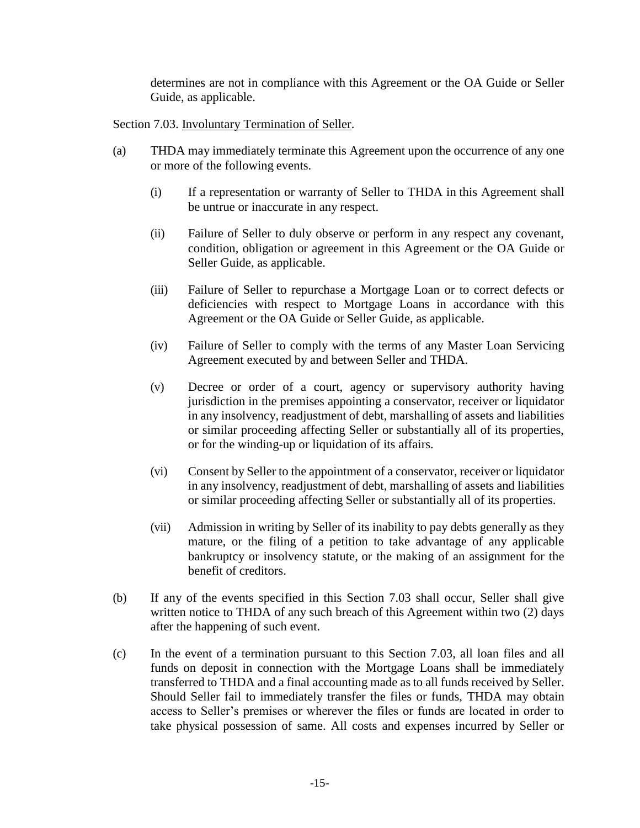determines are not in compliance with this Agreement or the OA Guide or Seller Guide, as applicable.

<span id="page-14-0"></span>Section 7.03. Involuntary Termination of Seller.

- (a) THDA may immediately terminate this Agreement upon the occurrence of any one or more of the following events.
	- (i) If a representation or warranty of Seller to THDA in this Agreement shall be untrue or inaccurate in any respect.
	- (ii) Failure of Seller to duly observe or perform in any respect any covenant, condition, obligation or agreement in this Agreement or the OA Guide or Seller Guide, as applicable.
	- (iii) Failure of Seller to repurchase a Mortgage Loan or to correct defects or deficiencies with respect to Mortgage Loans in accordance with this Agreement or the OA Guide or Seller Guide, as applicable.
	- (iv) Failure of Seller to comply with the terms of any Master Loan Servicing Agreement executed by and between Seller and THDA.
	- (v) Decree or order of a court, agency or supervisory authority having jurisdiction in the premises appointing a conservator, receiver or liquidator in any insolvency, readjustment of debt, marshalling of assets and liabilities or similar proceeding affecting Seller or substantially all of its properties, or for the winding-up or liquidation of its affairs.
	- (vi) Consent by Seller to the appointment of a conservator, receiver or liquidator in any insolvency, readjustment of debt, marshalling of assets and liabilities or similar proceeding affecting Seller or substantially all of its properties.
	- (vii) Admission in writing by Seller of its inability to pay debts generally as they mature, or the filing of a petition to take advantage of any applicable bankruptcy or insolvency statute, or the making of an assignment for the benefit of creditors.
- (b) If any of the events specified in this [Section 7.03 s](#page-14-0)hall occur, Seller shall give written notice to THDA of any such breach of this Agreement within two (2) days after the happening of such event.
- (c) In the event of a termination pursuant to this [Section 7.03,](#page-14-0) all loan files and all funds on deposit in connection with the Mortgage Loans shall be immediately transferred to THDA and a final accounting made asto all funds received by Seller. Should Seller fail to immediately transfer the files or funds, THDA may obtain access to Seller's premises or wherever the files or funds are located in order to take physical possession of same. All costs and expenses incurred by Seller or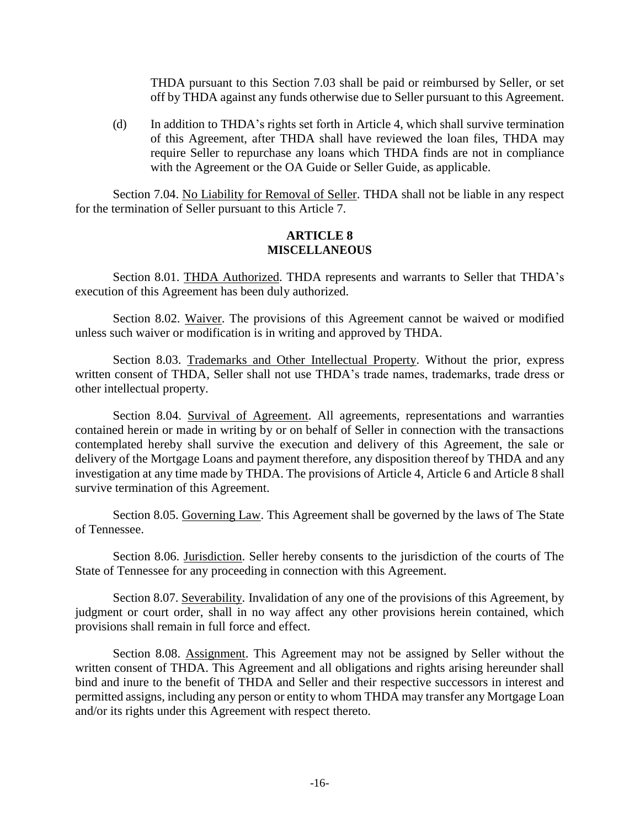THDA pursuant to this [Section 7.03 s](#page-14-0)hall be paid or reimbursed by Seller, or set off by THDA against any funds otherwise due to Seller pursuant to this Agreement.

(d) In addition to THDA's rights set forth in [Article 4,](#page-10-0) which shall survive termination of this Agreement, after THDA shall have reviewed the loan files, THDA may require Seller to repurchase any loans which THDA finds are not in compliance with the Agreement or the OA Guide or Seller Guide, as applicable.

<span id="page-15-0"></span>Section 7.04. No Liability for Removal of Seller. THDA shall not be liable in any respect for the termination of Seller pursuant to this [Article](#page-13-0) 7.

## **ARTICLE 8 MISCELLANEOUS**

Section 8.01. THDA Authorized. THDA represents and warrants to Seller that THDA's execution of this Agreement has been duly authorized.

Section 8.02. Waiver. The provisions of this Agreement cannot be waived or modified unless such waiver or modification is in writing and approved by THDA.

Section 8.03. Trademarks and Other Intellectual Property. Without the prior, express written consent of THDA, Seller shall not use THDA's trade names, trademarks, trade dress or other intellectual property.

Section 8.04. Survival of Agreement. All agreements, representations and warranties contained herein or made in writing by or on behalf of Seller in connection with the transactions contemplated hereby shall survive the execution and delivery of this Agreement, the sale or delivery of the Mortgage Loans and payment therefore, any disposition thereof by THDA and any investigation at any time made by THDA. The provisions o[f Article 4,](#page-10-0) [Article 6](#page-13-1) an[d Article 8 s](#page-15-0)hall survive termination of this Agreement.

Section 8.05. Governing Law. This Agreement shall be governed by the laws of The State of Tennessee.

Section 8.06. Jurisdiction. Seller hereby consents to the jurisdiction of the courts of The State of Tennessee for any proceeding in connection with this Agreement.

Section 8.07. Severability. Invalidation of any one of the provisions of this Agreement, by judgment or court order, shall in no way affect any other provisions herein contained, which provisions shall remain in full force and effect.

Section 8.08. Assignment. This Agreement may not be assigned by Seller without the written consent of THDA. This Agreement and all obligations and rights arising hereunder shall bind and inure to the benefit of THDA and Seller and their respective successors in interest and permitted assigns, including any person or entity to whom THDA may transfer any Mortgage Loan and/or its rights under this Agreement with respect thereto.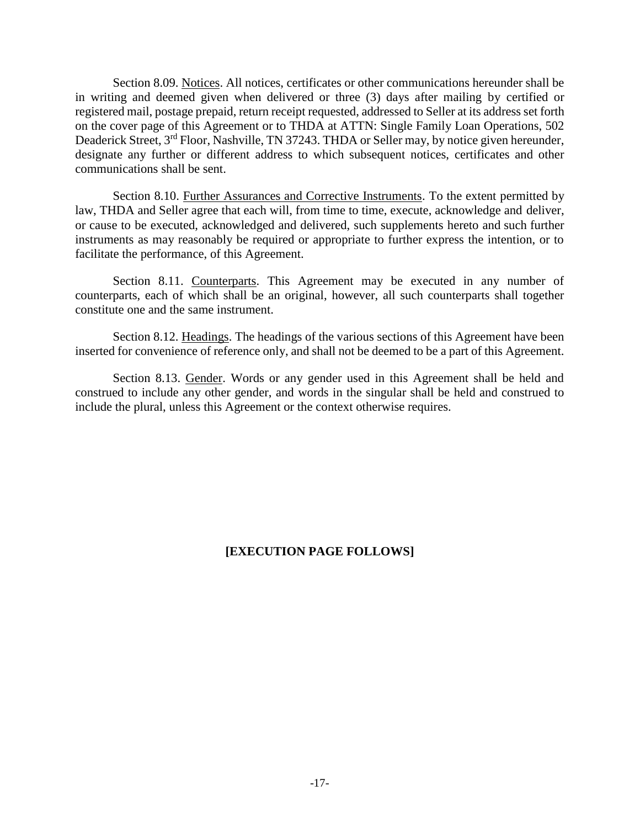Section 8.09. Notices. All notices, certificates or other communications hereunder shall be in writing and deemed given when delivered or three (3) days after mailing by certified or registered mail, postage prepaid, return receipt requested, addressed to Seller at its address set forth on the cover page of this Agreement or to THDA at ATTN: Single Family Loan Operations, 502 Deaderick Street, 3<sup>rd</sup> Floor, Nashville, TN 37243. THDA or Seller may, by notice given hereunder, designate any further or different address to which subsequent notices, certificates and other communications shall be sent.

Section 8.10. Further Assurances and Corrective Instruments. To the extent permitted by law, THDA and Seller agree that each will, from time to time, execute, acknowledge and deliver, or cause to be executed, acknowledged and delivered, such supplements hereto and such further instruments as may reasonably be required or appropriate to further express the intention, or to facilitate the performance, of this Agreement.

Section 8.11. Counterparts. This Agreement may be executed in any number of counterparts, each of which shall be an original, however, all such counterparts shall together constitute one and the same instrument.

Section 8.12. Headings. The headings of the various sections of this Agreement have been inserted for convenience of reference only, and shall not be deemed to be a part of this Agreement.

Section 8.13. Gender. Words or any gender used in this Agreement shall be held and construed to include any other gender, and words in the singular shall be held and construed to include the plural, unless this Agreement or the context otherwise requires.

# **[EXECUTION PAGE FOLLOWS]**